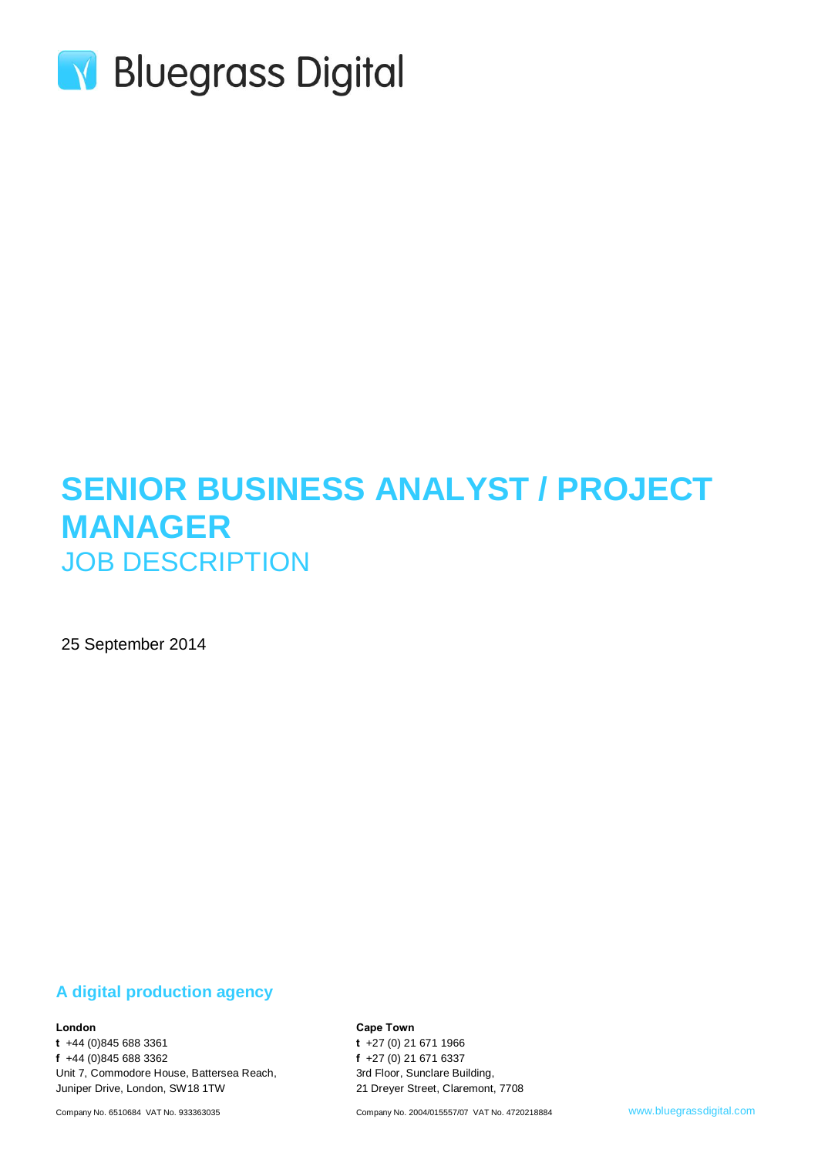

# **SENIOR BUSINESS ANALYST / PROJECT MANAGER** JOB DESCRIPTION

25 September 2014

### **A digital production agency**

#### **London**

**t** +44 (0)845 688 3361 **f** +44 (0)845 688 3362 Unit 7, Commodore House, Battersea Reach, Juniper Drive, London, SW18 1TW

Company No. 6510684 VAT No. 933363035

**Cape Town**

**t** +27 (0) 21 671 1966 **f** +27 (0) 21 671 6337 3rd Floor, Sunclare Building, 21 Dreyer Street, Claremont, 7708

Company No. 2004/015557/07 VAT No. 4720218884 www.bluegrassdigital.com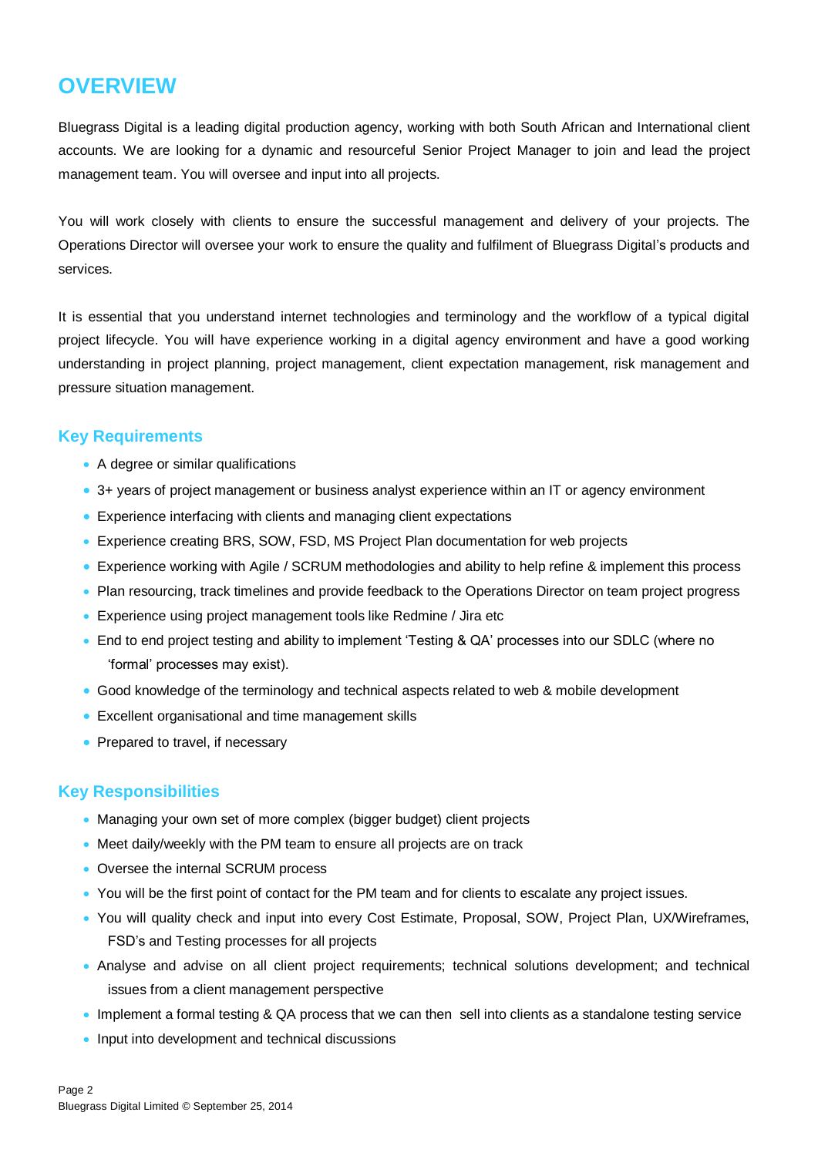## **OVERVIEW**

Bluegrass Digital is a leading digital production agency, working with both South African and International client accounts. We are looking for a dynamic and resourceful Senior Project Manager to join and lead the project management team. You will oversee and input into all projects.

You will work closely with clients to ensure the successful management and delivery of your projects. The Operations Director will oversee your work to ensure the quality and fulfilment of Bluegrass Digital's products and services.

It is essential that you understand internet technologies and terminology and the workflow of a typical digital project lifecycle. You will have experience working in a digital agency environment and have a good working understanding in project planning, project management, client expectation management, risk management and pressure situation management.

### **Key Requirements**

- A degree or similar qualifications
- 3+ years of project management or business analyst experience within an IT or agency environment
- Experience interfacing with clients and managing client expectations
- Experience creating BRS, SOW, FSD, MS Project Plan documentation for web projects
- Experience working with Agile / SCRUM methodologies and ability to help refine & implement this process
- Plan resourcing, track timelines and provide feedback to the Operations Director on team project progress
- **Experience using project management tools like Redmine / Jira etc**
- End to end project testing and ability to implement 'Testing & QA' processes into our SDLC (where no 'formal' processes may exist).
- Good knowledge of the terminology and technical aspects related to web & mobile development
- Excellent organisational and time management skills
- Prepared to travel, if necessary

### **Key Responsibilities**

- Managing your own set of more complex (bigger budget) client projects
- Meet daily/weekly with the PM team to ensure all projects are on track
- Oversee the internal SCRUM process
- You will be the first point of contact for the PM team and for clients to escalate any project issues.
- You will quality check and input into every Cost Estimate, Proposal, SOW, Project Plan, UX/Wireframes, FSD's and Testing processes for all projects
- Analyse and advise on all client project requirements; technical solutions development; and technical issues from a client management perspective
- Implement a formal testing & QA process that we can then sell into clients as a standalone testing service
- Input into development and technical discussions